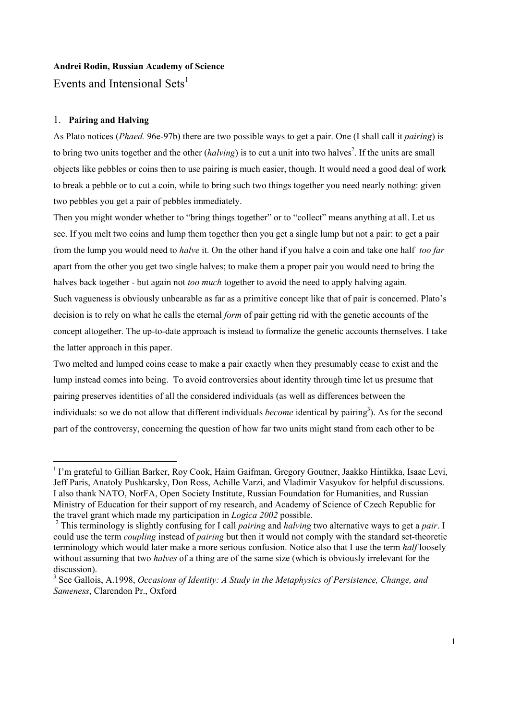# **Andrei Rodin, Russian Academy of Science**

Events and Intensional Sets<sup>1</sup>

# 1. **Pairing and Halving**

As Plato notices (*Phaed.* 96e-97b) there are two possible ways to get a pair. One (I shall call it *pairing*) is to bring two units together and the other (*halving*) is to cut a unit into two halves<sup>2</sup>. If the units are small objects like pebbles or coins then to use pairing is much easier, though. It would need a good deal of work to break a pebble or to cut a coin, while to bring such two things together you need nearly nothing: given two pebbles you get a pair of pebbles immediately.

Then you might wonder whether to "bring things together" or to "collect" means anything at all. Let us see. If you melt two coins and lump them together then you get a single lump but not a pair: to get a pair from the lump you would need to *halve* it. On the other hand if you halve a coin and take one half *too far* apart from the other you get two single halves; to make them a proper pair you would need to bring the halves back together - but again not *too much* together to avoid the need to apply halving again. Such vagueness is obviously unbearable as far as a primitive concept like that of pair is concerned. Plato's decision is to rely on what he calls the eternal *form* of pair getting rid with the genetic accounts of the concept altogether. The up-to-date approach is instead to formalize the genetic accounts themselves. I take the latter approach in this paper.

Two melted and lumped coins cease to make a pair exactly when they presumably cease to exist and the lump instead comes into being. To avoid controversies about identity through time let us presume that pairing preserves identities of all the considered individuals (as well as differences between the individuals: so we do not allow that different individuals *become* identical by pairing<sup>3</sup>). As for the second part of the controversy, concerning the question of how far two units might stand from each other to be

<sup>&</sup>lt;sup>1</sup> I'm grateful to Gillian Barker, Roy Cook, Haim Gaifman, Gregory Goutner, Jaakko Hintikka, Isaac Levi, Jeff Paris, Anatoly Pushkarsky, Don Ross, Achille Varzi, and Vladimir Vasyukov for helpful discussions. I also thank NATO, NorFA, Open Society Institute, Russian Foundation for Humanities, and Russian Ministry of Education for their support of my research, and Academy of Science of Czech Republic for the travel grant which made my participation in *Logica 2002* possible.

<sup>2</sup> This terminology is slightly confusing for I call *pairing* and *halving* two alternative ways to get a *pair*. I could use the term *coupling* instead of *pairing* but then it would not comply with the standard set-theoretic terminology which would later make a more serious confusion. Notice also that I use the term *half* loosely without assuming that two *halves* of a thing are of the same size (which is obviously irrelevant for the discussion).

<sup>3</sup> See Gallois, A.1998, *Occasions of Identity: A Study in the Metaphysics of Persistence, Change, and Sameness*, Clarendon Pr., Oxford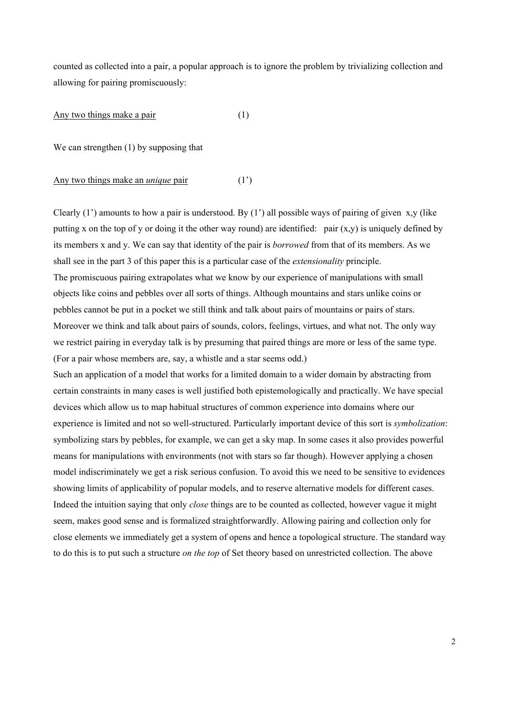counted as collected into a pair, a popular approach is to ignore the problem by trivializing collection and allowing for pairing promiscuously:

Any two things make a pair (1)

We can strengthen (1) by supposing that

#### Any two things make an *unique* pair (1')

Clearly  $(1')$  amounts to how a pair is understood. By  $(1')$  all possible ways of pairing of given x,y (like putting x on the top of y or doing it the other way round) are identified: pair  $(x,y)$  is uniquely defined by its members x and y. We can say that identity of the pair is *borrowed* from that of its members. As we shall see in the part 3 of this paper this is a particular case of the *extensionality* principle. The promiscuous pairing extrapolates what we know by our experience of manipulations with small objects like coins and pebbles over all sorts of things. Although mountains and stars unlike coins or pebbles cannot be put in a pocket we still think and talk about pairs of mountains or pairs of stars. Moreover we think and talk about pairs of sounds, colors, feelings, virtues, and what not. The only way we restrict pairing in everyday talk is by presuming that paired things are more or less of the same type. (For a pair whose members are, say, a whistle and a star seems odd.)

Such an application of a model that works for a limited domain to a wider domain by abstracting from certain constraints in many cases is well justified both epistemologically and practically. We have special devices which allow us to map habitual structures of common experience into domains where our experience is limited and not so well-structured. Particularly important device of this sort is *symbolization*: symbolizing stars by pebbles, for example, we can get a sky map. In some cases it also provides powerful means for manipulations with environments (not with stars so far though). However applying a chosen model indiscriminately we get a risk serious confusion. To avoid this we need to be sensitive to evidences showing limits of applicability of popular models, and to reserve alternative models for different cases. Indeed the intuition saying that only *close* things are to be counted as collected, however vague it might seem, makes good sense and is formalized straightforwardly. Allowing pairing and collection only for close elements we immediately get a system of opens and hence a topological structure. The standard way to do this is to put such a structure *on the top* of Set theory based on unrestricted collection. The above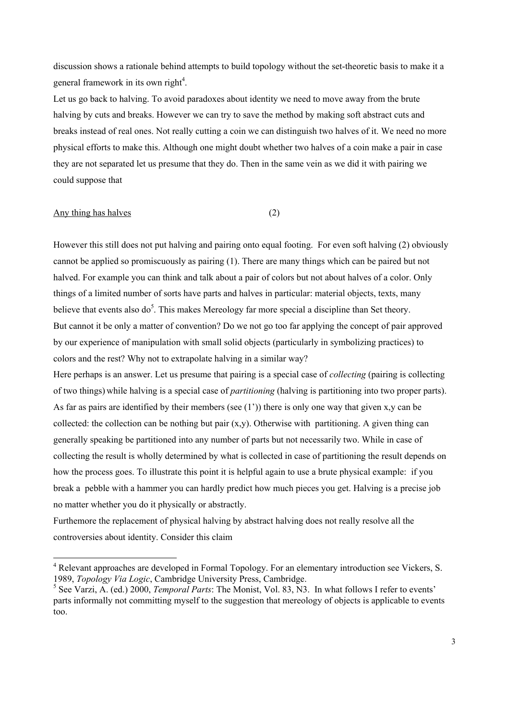discussion shows a rationale behind attempts to build topology without the set-theoretic basis to make it a general framework in its own right<sup>4</sup>.

Let us go back to halving. To avoid paradoxes about identity we need to move away from the brute halving by cuts and breaks. However we can try to save the method by making soft abstract cuts and breaks instead of real ones. Not really cutting a coin we can distinguish two halves of it. We need no more physical efforts to make this. Although one might doubt whether two halves of a coin make a pair in case they are not separated let us presume that they do. Then in the same vein as we did it with pairing we could suppose that

# Any thing has halves (2)

However this still does not put halving and pairing onto equal footing. For even soft halving (2) obviously cannot be applied so promiscuously as pairing (1). There are many things which can be paired but not halved. For example you can think and talk about a pair of colors but not about halves of a color. Only things of a limited number of sorts have parts and halves in particular: material objects, texts, many believe that events also do<sup>5</sup>. This makes Mereology far more special a discipline than Set theory. But cannot it be only a matter of convention? Do we not go too far applying the concept of pair approved by our experience of manipulation with small solid objects (particularly in symbolizing practices) to colors and the rest? Why not to extrapolate halving in a similar way?

Here perhaps is an answer. Let us presume that pairing is a special case of *collecting* (pairing is collecting of two things) while halving is a special case of *partitioning* (halving is partitioning into two proper parts). As far as pairs are identified by their members (see  $(1')$ ) there is only one way that given x,y can be collected: the collection can be nothing but pair  $(x,y)$ . Otherwise with partitioning. A given thing can generally speaking be partitioned into any number of parts but not necessarily two. While in case of collecting the result is wholly determined by what is collected in case of partitioning the result depends on how the process goes. To illustrate this point it is helpful again to use a brute physical example: if you break a pebble with a hammer you can hardly predict how much pieces you get. Halving is a precise job no matter whether you do it physically or abstractly.

Furthemore the replacement of physical halving by abstract halving does not really resolve all the controversies about identity. Consider this claim

 $\frac{1}{4}$ <sup>4</sup> Relevant approaches are developed in Formal Topology. For an elementary introduction see Vickers, S. 1989, *Topology Via Logic*, Cambridge University Press, Cambridge.

<sup>&</sup>lt;sup>5</sup> See Varzi, A. (ed.) 2000, *Temporal Parts*: The Monist, Vol. 83, N3. In what follows I refer to events' parts informally not committing myself to the suggestion that mereology of objects is applicable to events too.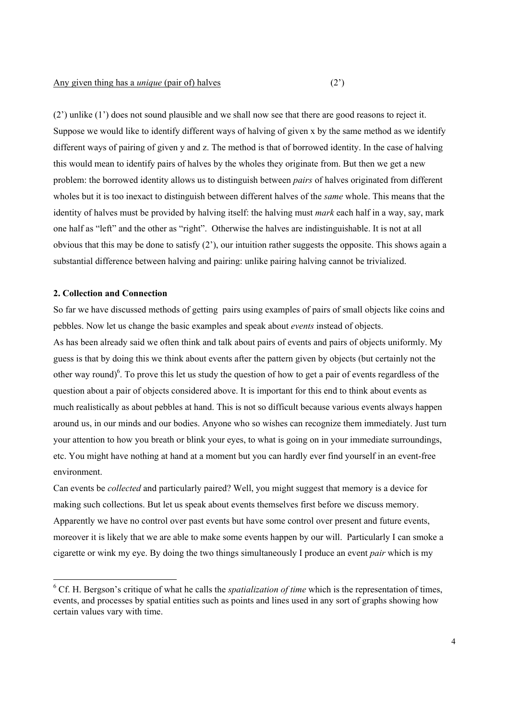(2') unlike (1') does not sound plausible and we shall now see that there are good reasons to reject it. Suppose we would like to identify different ways of halving of given x by the same method as we identify different ways of pairing of given y and z. The method is that of borrowed identity. In the case of halving this would mean to identify pairs of halves by the wholes they originate from. But then we get a new problem: the borrowed identity allows us to distinguish between *pairs* of halves originated from different wholes but it is too inexact to distinguish between different halves of the *same* whole. This means that the identity of halves must be provided by halving itself: the halving must *mark* each half in a way, say, mark one half as "left" and the other as "right". Otherwise the halves are indistinguishable. It is not at all obvious that this may be done to satisfy  $(2')$ , our intuition rather suggests the opposite. This shows again a substantial difference between halving and pairing: unlike pairing halving cannot be trivialized.

#### **2. Collection and Connection**

So far we have discussed methods of getting pairs using examples of pairs of small objects like coins and pebbles. Now let us change the basic examples and speak about *events* instead of objects.

As has been already said we often think and talk about pairs of events and pairs of objects uniformly. My guess is that by doing this we think about events after the pattern given by objects (but certainly not the other way round)<sup>6</sup>. To prove this let us study the question of how to get a pair of events regardless of the question about a pair of objects considered above. It is important for this end to think about events as much realistically as about pebbles at hand. This is not so difficult because various events always happen around us, in our minds and our bodies. Anyone who so wishes can recognize them immediately. Just turn your attention to how you breath or blink your eyes, to what is going on in your immediate surroundings, etc. You might have nothing at hand at a moment but you can hardly ever find yourself in an event-free environment.

Can events be *collected* and particularly paired? Well, you might suggest that memory is a device for making such collections. But let us speak about events themselves first before we discuss memory. Apparently we have no control over past events but have some control over present and future events, moreover it is likely that we are able to make some events happen by our will. Particularly I can smoke a cigarette or wink my eye. By doing the two things simultaneously I produce an event *pair* which is my

 <sup>6</sup> <sup>6</sup> Cf. H. Bergson's critique of what he calls the *spatialization of time* which is the representation of times, events, and processes by spatial entities such as points and lines used in any sort of graphs showing how certain values vary with time.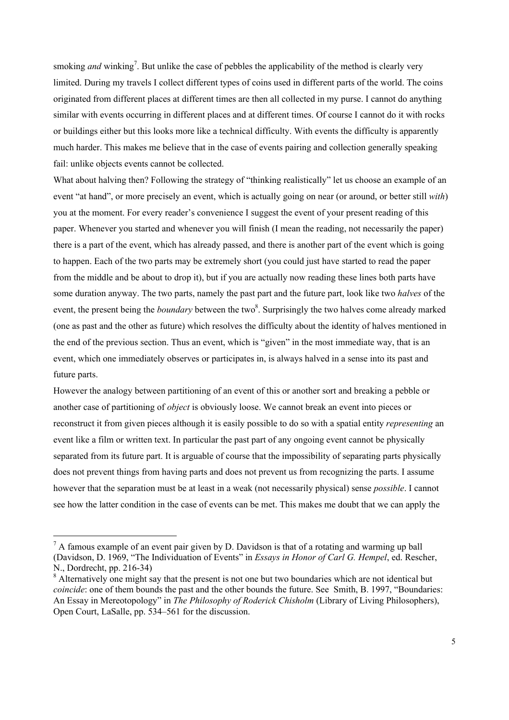smoking *and* winking<sup>7</sup>. But unlike the case of pebbles the applicability of the method is clearly very limited. During my travels I collect different types of coins used in different parts of the world. The coins originated from different places at different times are then all collected in my purse. I cannot do anything similar with events occurring in different places and at different times. Of course I cannot do it with rocks or buildings either but this looks more like a technical difficulty. With events the difficulty is apparently much harder. This makes me believe that in the case of events pairing and collection generally speaking fail: unlike objects events cannot be collected.

What about halving then? Following the strategy of "thinking realistically" let us choose an example of an event "at hand", or more precisely an event, which is actually going on near (or around, or better still *with*) you at the moment. For every reader's convenience I suggest the event of your present reading of this paper. Whenever you started and whenever you will finish (I mean the reading, not necessarily the paper) there is a part of the event, which has already passed, and there is another part of the event which is going to happen. Each of the two parts may be extremely short (you could just have started to read the paper from the middle and be about to drop it), but if you are actually now reading these lines both parts have some duration anyway. The two parts, namely the past part and the future part, look like two *halves* of the event, the present being the *boundary* between the two<sup>8</sup>. Surprisingly the two halves come already marked (one as past and the other as future) which resolves the difficulty about the identity of halves mentioned in the end of the previous section. Thus an event, which is "given" in the most immediate way, that is an event, which one immediately observes or participates in, is always halved in a sense into its past and future parts.

However the analogy between partitioning of an event of this or another sort and breaking a pebble or another case of partitioning of *object* is obviously loose. We cannot break an event into pieces or reconstruct it from given pieces although it is easily possible to do so with a spatial entity *representing* an event like a film or written text. In particular the past part of any ongoing event cannot be physically separated from its future part. It is arguable of course that the impossibility of separating parts physically does not prevent things from having parts and does not prevent us from recognizing the parts. I assume however that the separation must be at least in a weak (not necessarily physical) sense *possible*. I cannot see how the latter condition in the case of events can be met. This makes me doubt that we can apply the

<sup>&</sup>lt;sup>-</sup>7  $A<sup>7</sup>$  A famous example of an event pair given by D. Davidson is that of a rotating and warming up ball (Davidson, D. 1969, "The Individuation of Events" in *Essays in Honor of Carl G. Hempel*, ed. Rescher, N., Dordrecht, pp. 216-34)

<sup>&</sup>lt;sup>8</sup> Alternatively one might say that the present is not one but two boundaries which are not identical but *coincide*: one of them bounds the past and the other bounds the future. See Smith, B. 1997, "Boundaries: An Essay in Mereotopology" in *The Philosophy of Roderick Chisholm* (Library of Living Philosophers), Open Court, LaSalle, pp. 534–561 for the discussion.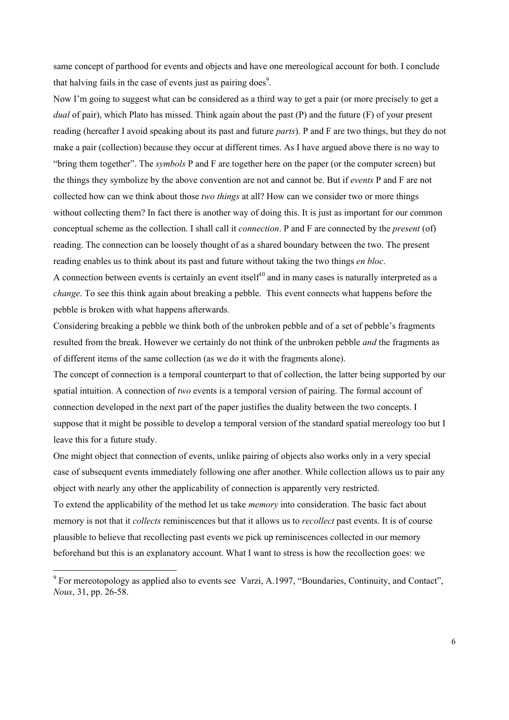same concept of parthood for events and objects and have one mereological account for both. I conclude that halving fails in the case of events just as pairing does<sup>9</sup>.

Now I'm going to suggest what can be considered as a third way to get a pair (or more precisely to get a *dual* of pair), which Plato has missed. Think again about the past (P) and the future (F) of your present reading (hereafter I avoid speaking about its past and future *parts*). P and F are two things, but they do not make a pair (collection) because they occur at different times. As I have argued above there is no way to "bring them together". The *symbols* P and F are together here on the paper (or the computer screen) but the things they symbolize by the above convention are not and cannot be. But if *events* P and F are not collected how can we think about those *two things* at all? How can we consider two or more things without collecting them? In fact there is another way of doing this. It is just as important for our common conceptual scheme as the collection. I shall call it *connection*. P and F are connected by the *present* (of) reading. The connection can be loosely thought of as a shared boundary between the two. The present reading enables us to think about its past and future without taking the two things *en bloc*.

A connection between events is certainly an event itself<sup>10</sup> and in many cases is naturally interpreted as a *change*. To see this think again about breaking a pebble. This event connects what happens before the pebble is broken with what happens afterwards.

Considering breaking a pebble we think both of the unbroken pebble and of a set of pebble's fragments resulted from the break. However we certainly do not think of the unbroken pebble *and* the fragments as of different items of the same collection (as we do it with the fragments alone).

The concept of connection is a temporal counterpart to that of collection, the latter being supported by our spatial intuition. A connection of *two* events is a temporal version of pairing. The formal account of connection developed in the next part of the paper justifies the duality between the two concepts. I suppose that it might be possible to develop a temporal version of the standard spatial mereology too but I leave this for a future study.

One might object that connection of events, unlike pairing of objects also works only in a very special case of subsequent events immediately following one after another. While collection allows us to pair any object with nearly any other the applicability of connection is apparently very restricted.

To extend the applicability of the method let us take *memory* into consideration. The basic fact about memory is not that it *collects* reminiscences but that it allows us to *recollect* past events. It is of course plausible to believe that recollecting past events we pick up reminiscences collected in our memory beforehand but this is an explanatory account. What I want to stress is how the recollection goes: we

<sup>&</sup>lt;sup>-</sup>  $\degree$  For mereotopology as applied also to events see Varzi, A.1997, "Boundaries, Continuity, and Contact", *Nous*, 31, pp. 26-58.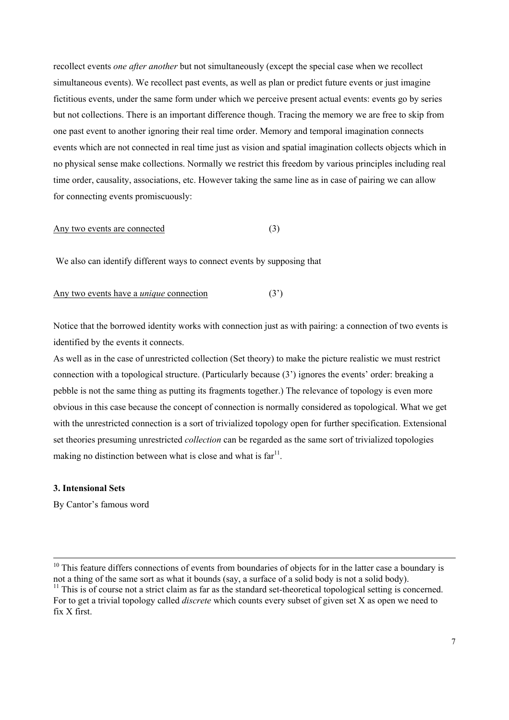recollect events *one after another* but not simultaneously (except the special case when we recollect simultaneous events). We recollect past events, as well as plan or predict future events or just imagine fictitious events, under the same form under which we perceive present actual events: events go by series but not collections. There is an important difference though. Tracing the memory we are free to skip from one past event to another ignoring their real time order. Memory and temporal imagination connects events which are not connected in real time just as vision and spatial imagination collects objects which in no physical sense make collections. Normally we restrict this freedom by various principles including real time order, causality, associations, etc. However taking the same line as in case of pairing we can allow for connecting events promiscuously:

## Any two events are connected (3)

We also can identify different ways to connect events by supposing that

#### Any two events have a *unique* connection (3<sup>'</sup>)

Notice that the borrowed identity works with connection just as with pairing: a connection of two events is identified by the events it connects.

As well as in the case of unrestricted collection (Set theory) to make the picture realistic we must restrict connection with a topological structure. (Particularly because (3') ignores the events' order: breaking a pebble is not the same thing as putting its fragments together.) The relevance of topology is even more obvious in this case because the concept of connection is normally considered as topological. What we get with the unrestricted connection is a sort of trivialized topology open for further specification. Extensional set theories presuming unrestricted *collection* can be regarded as the same sort of trivialized topologies making no distinction between what is close and what is  $far<sup>11</sup>$ .

# **3. Intensional Sets**

By Cantor's famous word

<sup>&</sup>lt;sup>10</sup> This feature differs connections of events from boundaries of objects for in the latter case a boundary is not a thing of the same sort as what it bounds (say, a surface of a solid body is not a solid body).

 $11$  This is of course not a strict claim as far as the standard set-theoretical topological setting is concerned. For to get a trivial topology called *discrete* which counts every subset of given set X as open we need to fix X first.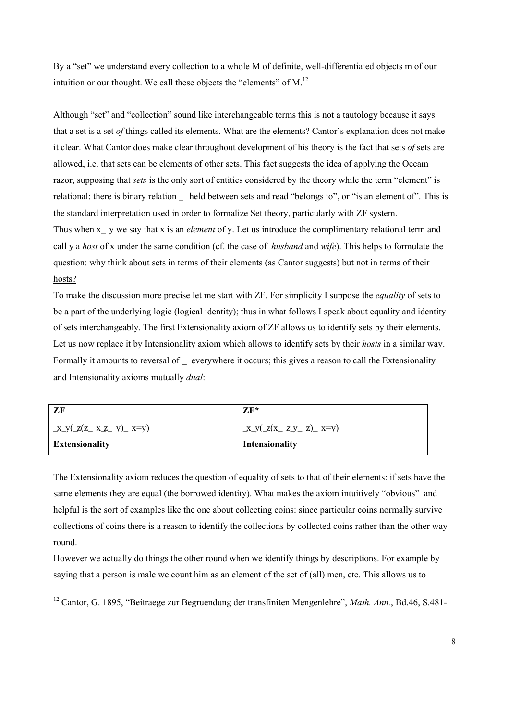By a "set" we understand every collection to a whole M of definite, well-differentiated objects m of our intuition or our thought. We call these objects the "elements" of M.<sup>12</sup>

Although "set" and "collection" sound like interchangeable terms this is not a tautology because it says that a set is a set *of* things called its elements. What are the elements? Cantor's explanation does not make it clear. What Cantor does make clear throughout development of his theory is the fact that sets *of* sets are allowed, i.e. that sets can be elements of other sets. This fact suggests the idea of applying the Occam razor, supposing that *sets* is the only sort of entities considered by the theory while the term "element" is relational: there is binary relation \_ held between sets and read "belongs to", or "is an element of". This is the standard interpretation used in order to formalize Set theory, particularly with ZF system. Thus when x y we say that x is an *element* of y. Let us introduce the complimentary relational term and call y a *host* of x under the same condition (cf. the case of *husband* and *wife*). This helps to formulate the question: why think about sets in terms of their elements (as Cantor suggests) but not in terms of their hosts?

To make the discussion more precise let me start with ZF. For simplicity I suppose the *equality* of sets to be a part of the underlying logic (logical identity); thus in what follows I speak about equality and identity of sets interchangeably. The first Extensionality axiom of ZF allows us to identify sets by their elements. Let us now replace it by Intensionality axiom which allows to identify sets by their *hosts* in a similar way. Formally it amounts to reversal of everywhere it occurs; this gives a reason to call the Extensionality and Intensionality axioms mutually *dual*:

| ZF                                    | $ZF^*$                     |
|---------------------------------------|----------------------------|
| $\frac{X_y(z(z_x z_z y) - x = y)}{Z}$ | $x_y(z(x_ z_y z) - x = y)$ |
| <b>Extensionality</b>                 | Intensionality             |

The Extensionality axiom reduces the question of equality of sets to that of their elements: if sets have the same elements they are equal (the borrowed identity). What makes the axiom intuitively "obvious" and helpful is the sort of examples like the one about collecting coins: since particular coins normally survive collections of coins there is a reason to identify the collections by collected coins rather than the other way round.

However we actually do things the other round when we identify things by descriptions. For example by saying that a person is male we count him as an element of the set of (all) men, etc. This allows us to

 <sup>12</sup> Cantor, G. 1895, "Beitraege zur Begruendung der transfiniten Mengenlehre", *Math. Ann.*, Bd.46, S.481-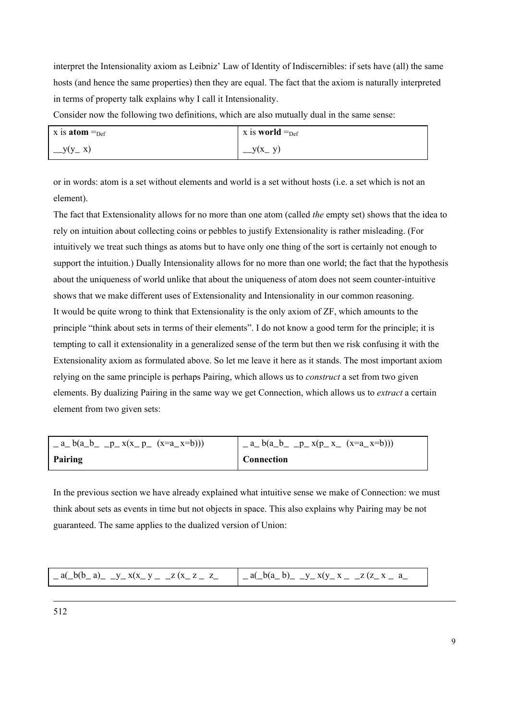interpret the Intensionality axiom as Leibniz' Law of Identity of Indiscernibles: if sets have (all) the same hosts (and hence the same properties) then they are equal. The fact that the axiom is naturally interpreted in terms of property talk explains why I call it Intensionality.

Consider now the following two definitions, which are also mutually dual in the same sense:

| x is <b>atom</b> $=_{\text{Def}}$ | $\vert$ x is <b>world</b> = $_{\text{Def}}$ |
|-----------------------------------|---------------------------------------------|
| $-y(y-x)$                         | $-y(x, y)$                                  |

or in words: atom is a set without elements and world is a set without hosts (i.e. a set which is not an element).

The fact that Extensionality allows for no more than one atom (called *the* empty set) shows that the idea to rely on intuition about collecting coins or pebbles to justify Extensionality is rather misleading. (For intuitively we treat such things as atoms but to have only one thing of the sort is certainly not enough to support the intuition.) Dually Intensionality allows for no more than one world; the fact that the hypothesis about the uniqueness of world unlike that about the uniqueness of atom does not seem counter-intuitive shows that we make different uses of Extensionality and Intensionality in our common reasoning. It would be quite wrong to think that Extensionality is the only axiom of ZF, which amounts to the principle "think about sets in terms of their elements". I do not know a good term for the principle; it is tempting to call it extensionality in a generalized sense of the term but then we risk confusing it with the Extensionality axiom as formulated above. So let me leave it here as it stands. The most important axiom relying on the same principle is perhaps Pairing, which allows us to *construct* a set from two given elements. By dualizing Pairing in the same way we get Connection, which allows us to *extract* a certain element from two given sets:

| $a_{-}$ b(a <sub>-</sub> b <sub>-</sub> -p <sub>-</sub> x(x <sub>-</sub> p <sub>-</sub> (x=a <sub>-</sub> x=b))) | $\vert$ $a_{b}$ b(a <sub>pp</sub> $p_{x}(p_{x}$ (x=a <sub>p</sub> x=b))) |
|------------------------------------------------------------------------------------------------------------------|--------------------------------------------------------------------------|
| Pairing                                                                                                          | <b>Connection</b>                                                        |

In the previous section we have already explained what intuitive sense we make of Connection: we must think about sets as events in time but not objects in space. This also explains why Pairing may be not guaranteed. The same applies to the dualized version of Union:

| $a(b(b-a))$ y x(x y   z(x z   z   a(b(a)) y x(y x   z   z (z x   a) |  |
|---------------------------------------------------------------------|--|
|---------------------------------------------------------------------|--|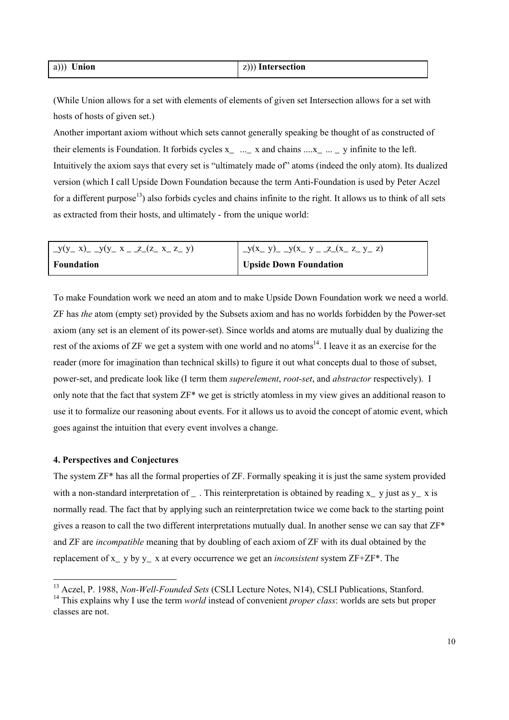| $a))$ Union | $ z $ ) Intersection |
|-------------|----------------------|
|             |                      |

(While Union allows for a set with elements of elements of given set Intersection allows for a set with hosts of hosts of given set.)

Another important axiom without which sets cannot generally speaking be thought of as constructed of their elements is Foundation. It forbids cycles  $x_$  ...  $\alpha$  x and chains .... $x_$  ...  $\alpha$  y infinite to the left. Intuitively the axiom says that every set is "ultimately made of" atoms (indeed the only atom). Its dualized version (which I call Upside Down Foundation because the term Anti-Foundation is used by Peter Aczel for a different purpose<sup>13</sup>) also forbids cycles and chains infinite to the right. It allows us to think of all sets as extracted from their hosts, and ultimately - from the unique world:

| $y(y_x x)$ $-y(y_x x - z(x_x x - z)$ | $y(x_y)$ $-y(x_y)$ $-z(x_z)$ $z_y$ $z_y$ |
|--------------------------------------|------------------------------------------|
| <b>Foundation</b>                    | <b>Upside Down Foundation</b>            |

To make Foundation work we need an atom and to make Upside Down Foundation work we need a world. ZF has *the* atom (empty set) provided by the Subsets axiom and has no worlds forbidden by the Power-set axiom (any set is an element of its power-set). Since worlds and atoms are mutually dual by dualizing the rest of the axioms of  $ZF$  we get a system with one world and no atoms<sup>14</sup>. I leave it as an exercise for the reader (more for imagination than technical skills) to figure it out what concepts dual to those of subset, power-set, and predicate look like (I term them *superelement*, *root-set*, and *abstractor* respectively). I only note that the fact that system ZF\* we get is strictly atomless in my view gives an additional reason to use it to formalize our reasoning about events. For it allows us to avoid the concept of atomic event, which goes against the intuition that every event involves a change.

#### **4. Perspectives and Conjectures**

The system ZF\* has all the formal properties of ZF. Formally speaking it is just the same system provided with a non-standard interpretation of . This reinterpretation is obtained by reading x  $\gamma$  y just as  $\gamma$  x is normally read. The fact that by applying such an reinterpretation twice we come back to the starting point gives a reason to call the two different interpretations mutually dual. In another sense we can say that  $ZF^*$ and ZF are *incompatible* meaning that by doubling of each axiom of ZF with its dual obtained by the replacement of x\_ y by y\_ x at every occurrence we get an *inconsistent* system ZF+ZF\*. The

 <sup>13</sup> Aczel, P. 1988, *Non-Well-Founded Sets* (CSLI Lecture Notes, N14), CSLI Publications, Stanford. <sup>14</sup> This explains why I use the term *world* instead of convenient *proper class*: worlds are sets but proper classes are not.